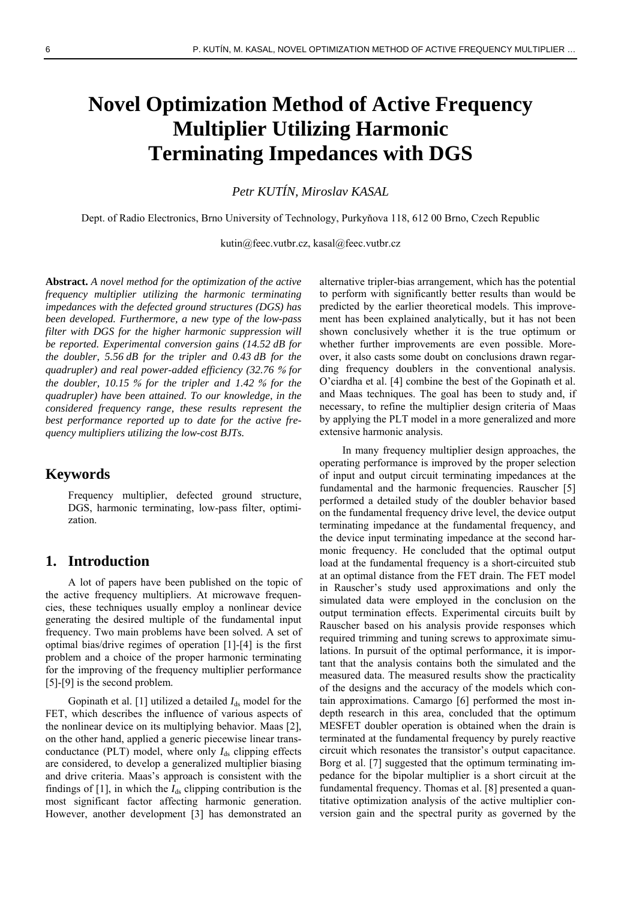# **Novel Optimization Method of Active Frequency Multiplier Utilizing Harmonic Terminating Impedances with DGS**

*Petr KUTÍN, Miroslav KASAL* 

Dept. of Radio Electronics, Brno University of Technology, Purkyňova 118, 612 00 Brno, Czech Republic

kutin@feec.vutbr.cz, kasal@feec.vutbr.cz

**Abstract.** *A novel method for the optimization of the active frequency multiplier utilizing the harmonic terminating impedances with the defected ground structures (DGS) has been developed. Furthermore, a new type of the low-pass filter with DGS for the higher harmonic suppression will be reported. Experimental conversion gains (14.52 dB for the doubler, 5.56 dB for the tripler and 0.43 dB for the quadrupler) and real power-added efficiency (32.76* % *for the doubler, 10.15* % *for the tripler and 1.42* % *for the quadrupler) have been attained. To our knowledge, in the considered frequency range, these results represent the best performance reported up to date for the active frequency multipliers utilizing the low-cost BJTs.* 

#### **Keywords**

Frequency multiplier, defected ground structure, DGS, harmonic terminating, low-pass filter, optimization.

#### **1. Introduction**

A lot of papers have been published on the topic of the active frequency multipliers. At microwave frequencies, these techniques usually employ a nonlinear device generating the desired multiple of the fundamental input frequency. Two main problems have been solved. A set of optimal bias/drive regimes of operation [\[1\]-](#page-4-0)[\[4\]](#page-5-0) is the first problem and a choice of the proper harmonic terminating for the improving of the frequency multiplier performance [\[5\]](#page-5-1)-[\[9\]](#page-5-2) is the second problem.

Gopinath et al. [\[1\]](#page-4-0) utilized a detailed  $I_{ds}$  model for the FET, which describes the influence of various aspects of the nonlinear device on its multiplying behavior. Maas [\[2\],](#page-4-1) on the other hand, applied a generic piecewise linear transconductance (PLT) model, where only  $I_{ds}$  clipping effects are considered, to develop a generalized multiplier biasing and drive criteria. Maas's approach is consistent with the findings of  $[1]$ , in which the  $I_{ds}$  clipping contribution is the most significant factor affecting harmonic generation. However, another development [\[3\]](#page-4-2) has demonstrated an

alternative tripler-bias arrangement, which has the potential to perform with significantly better results than would be predicted by the earlier theoretical models. This improvement has been explained analytically, but it has not been shown conclusively whether it is the true optimum or whether further improvements are even possible. Moreover, it also casts some doubt on conclusions drawn regarding frequency doublers in the conventional analysis. O'ciardha et al. [\[4\]](#page-5-0) combine the best of the Gopinath et al. and Maas techniques. The goal has been to study and, if necessary, to refine the multiplier design criteria of Maas by applying the PLT model in a more generalized and more extensive harmonic analysis.

In many frequency multiplier design approaches, the operating performance is improved by the proper selection of input and output circuit terminating impedances at the fundamental and the harmonic frequencies. Rauscher [\[5\]](#page-5-1) performed a detailed study of the doubler behavior based on the fundamental frequency drive level, the device output terminating impedance at the fundamental frequency, and the device input terminating impedance at the second harmonic frequency. He concluded that the optimal output load at the fundamental frequency is a short-circuited stub at an optimal distance from the FET drain. The FET model in Rauscher's study used approximations and only the simulated data were employed in the conclusion on the output termination effects. Experimental circuits built by Rauscher based on his analysis provide responses which required trimming and tuning screws to approximate simulations. In pursuit of the optimal performance, it is important that the analysis contains both the simulated and the measured data. The measured results show the practicality of the designs and the accuracy of the models which contain approximations. Camargo [\[6\]](#page-5-3) performed the most indepth research in this area, concluded that the optimum MESFET doubler operation is obtained when the drain is terminated at the fundamental frequency by purely reactive circuit which resonates the transistor's output capacitance. Borg et al. [\[7\]](#page-5-4) suggested that the optimum terminating impedance for the bipolar multiplier is a short circuit at the fundamental frequency. Thomas et al. [\[8\]](#page-5-5) presented a quantitative optimization analysis of the active multiplier conversion gain and the spectral purity as governed by the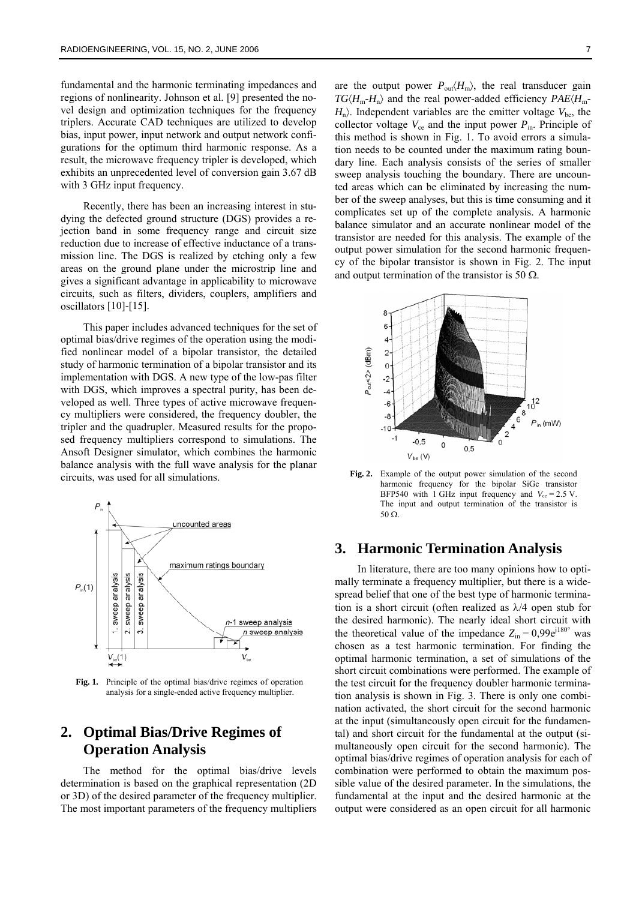fundamental and the harmonic terminating impedances and regions of nonlinearity. Johnson et al. [\[9\]](#page-5-2) presented the novel design and optimization techniques for the frequency triplers. Accurate CAD techniques are utilized to develop bias, input power, input network and output network configurations for the optimum third harmonic response. As a result, the microwave frequency tripler is developed, which exhibits an unprecedented level of conversion gain 3.67 dB with 3 GHz input frequency.

Recently, there has been an increasing interest in studying the defected ground structure (DGS) provides a rejection band in some frequency range and circuit size reduction due to increase of effective inductance of a transmission line. The DGS is realized by etching only a few areas on the ground plane under the microstrip line and gives a significant advantage in applicability to microwave circuits, such as filters, dividers, couplers, amplifiers and oscillators [\[10\]](#page-5-6)-[\[15\]](#page-5-7).

This paper includes advanced techniques for the set of optimal bias/drive regimes of the operation using the modified nonlinear model of a bipolar transistor, the detailed study of harmonic termination of a bipolar transistor and its implementation with DGS. A new type of the low-pas filter with DGS, which improves a spectral purity, has been developed as well. Three types of active microwave frequency multipliers were considered, the frequency doubler, the tripler and the quadrupler. Measured results for the proposed frequency multipliers correspond to simulations. The Ansoft Designer simulator, which combines the harmonic balance analysis with the full wave analysis for the planar circuits, was used for all simulations.



**Fig. 1.** Principle of the optimal bias/drive regimes of operation analysis for a single-ended active frequency multiplier.

### **2. Optimal Bias/Drive Regimes of Operation Analysis**

The method for the optimal bias/drive levels determination is based on the graphical representation (2D or 3D) of the desired parameter of the frequency multiplier. The most important parameters of the frequency multipliers are the output power  $P_{out}\langle H_{m}\rangle$ , the real transducer gain  $TG\langle H_m-H_n\rangle$  and the real power-added efficiency  $PAE\langle H_m-H_n\rangle$  $H_n$ ). Independent variables are the emitter voltage  $V_{\text{be}}$ , the collector voltage  $V_{ce}$  and the input power  $P_{in}$ . Principle of this method is shown in Fig. 1. To avoid errors a simulation needs to be counted under the maximum rating boundary line. Each analysis consists of the series of smaller sweep analysis touching the boundary. There are uncounted areas which can be eliminated by increasing the number of the sweep analyses, but this is time consuming and it complicates set up of the complete analysis. A harmonic balance simulator and an accurate nonlinear model of the transistor are needed for this analysis. The example of the output power simulation for the second harmonic frequency of the bipolar transistor is shown in Fig. 2. The input and output termination of the transistor is 50  $\Omega$ .



**Fig. 2.** Example of the output power simulation of the second harmonic frequency for the bipolar SiGe transistor BFP540 with 1 GHz input frequency and  $V_{ce} = 2.5$  V. The input and output termination of the transistor is 50 Ω.

#### **3. Harmonic Termination Analysis**

In literature, there are too many opinions how to optimally terminate a frequency multiplier, but there is a widespread belief that one of the best type of harmonic termination is a short circuit (often realized as λ/4 open stub for the desired harmonic). The nearly ideal short circuit with the theoretical value of the impedance  $Z_{\text{in}} = 0.99e^{j180^\circ}$  was chosen as a test harmonic termination. For finding the optimal harmonic termination, a set of simulations of the short circuit combinations were performed. The example of the test circuit for the frequency doubler harmonic termination analysis is shown in Fig. 3. There is only one combination activated, the short circuit for the second harmonic at the input (simultaneously open circuit for the fundamental) and short circuit for the fundamental at the output (simultaneously open circuit for the second harmonic). The optimal bias/drive regimes of operation analysis for each of combination were performed to obtain the maximum possible value of the desired parameter. In the simulations, the fundamental at the input and the desired harmonic at the output were considered as an open circuit for all harmonic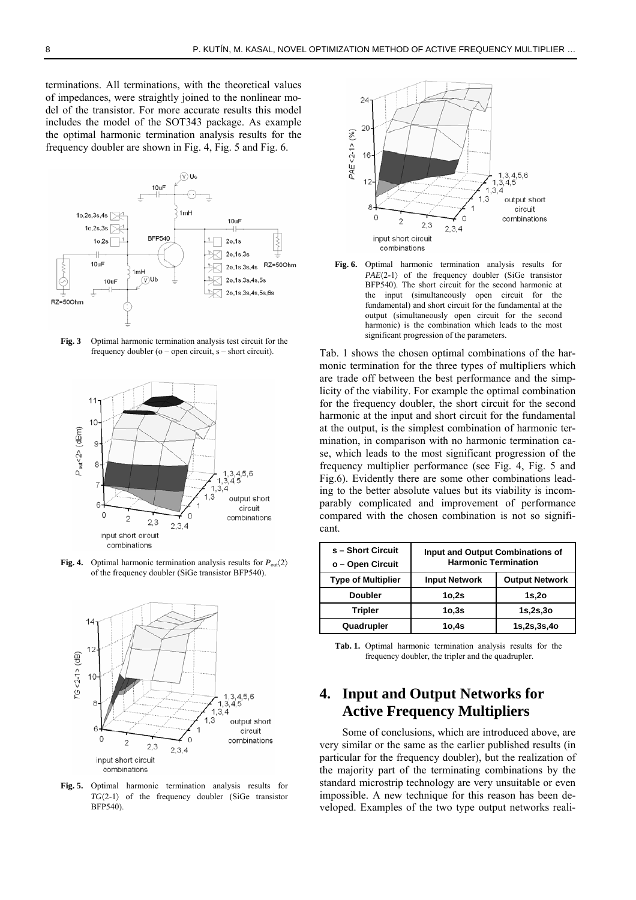terminations. All terminations, with the theoretical values of impedances, were straightly joined to the nonlinear model of the transistor. For more accurate results this model includes the model of the SOT343 package. As example the optimal harmonic termination analysis results for the frequency doubler are shown in Fig. 4, Fig. 5 and Fig. 6.



**Fig. 3** Optimal harmonic termination analysis test circuit for the frequency doubler (o – open circuit, s – short circuit).







**Fig. 5.** Optimal harmonic termination analysis results for *TG*〈2-1〉 of the frequency doubler (SiGe transistor BFP540).



**Fig. 6.** Optimal harmonic termination analysis results for PAE<sup> $(2-1)$ </sup> of the frequency doubler (SiGe transistor BFP540). The short circuit for the second harmonic at the input (simultaneously open circuit for the fundamental) and short circuit for the fundamental at the output (simultaneously open circuit for the second harmonic) is the combination which leads to the most significant progression of the parameters.

Tab. 1 shows the chosen optimal combinations of the harmonic termination for the three types of multipliers which are trade off between the best performance and the simplicity of the viability. For example the optimal combination for the frequency doubler, the short circuit for the second harmonic at the input and short circuit for the fundamental at the output, is the simplest combination of harmonic termination, in comparison with no harmonic termination case, which leads to the most significant progression of the frequency multiplier performance (see Fig. 4, Fig. 5 and Fig.6). Evidently there are some other combinations leading to the better absolute values but its viability is incomparably complicated and improvement of performance compared with the chosen combination is not so significant.

| s - Short Circuit<br>o - Open Circuit | <b>Input and Output Combinations of</b><br><b>Harmonic Termination</b> |                       |
|---------------------------------------|------------------------------------------------------------------------|-----------------------|
| <b>Type of Multiplier</b>             | <b>Input Network</b>                                                   | <b>Output Network</b> |
| <b>Doubler</b>                        | 10,2s                                                                  | $1s$ ,20              |
| <b>Tripler</b>                        | 10,3s                                                                  | 1s,2s,3o              |
| Quadrupler                            | 10,4s                                                                  | 1s,2s,3s,4o           |

**Tab. 1.** Optimal harmonic termination analysis results for the frequency doubler, the tripler and the quadrupler.

## **4. Input and Output Networks for Active Frequency Multipliers**

Some of conclusions, which are introduced above, are very similar or the same as the earlier published results (in particular for the frequency doubler), but the realization of the majority part of the terminating combinations by the standard microstrip technology are very unsuitable or even impossible. A new technique for this reason has been developed. Examples of the two type output networks reali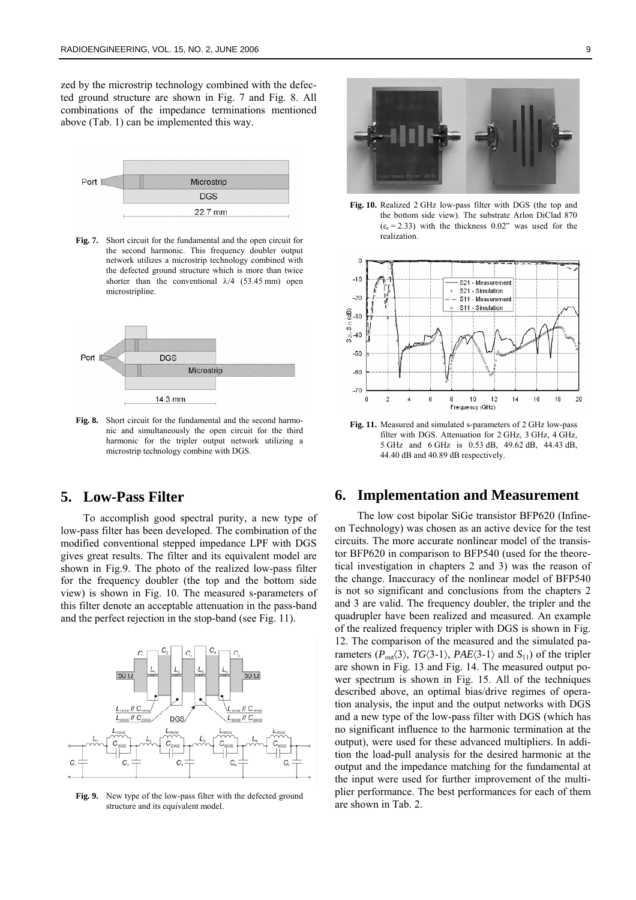zed by the microstrip technology combined with the defected ground structure are shown in Fig. 7 and Fig. 8. All combinations of the impedance terminations mentioned above (Tab. 1) can be implemented this way.



**Fig. 7.** Short circuit for the fundamental and the open circuit for the second harmonic. This frequency doubler output network utilizes a microstrip technology combined with the defected ground structure which is more than twice shorter than the conventional  $\lambda/4$  (53.45 mm) open microstripline.



**Fig. 8.** Short circuit for the fundamental and the second harmonic and simultaneously the open circuit for the third harmonic for the tripler output network utilizing a microstrip technology combine with DGS.

#### **5. Low-Pass Filter**

To accomplish good spectral purity, a new type of low-pass filter has been developed. The combination of the modified conventional stepped impedance LPF with DGS gives great results. The filter and its equivalent model are shown in Fig.9. The photo of the realized low-pass filter for the frequency doubler (the top and the bottom side view) is shown in Fig. 10. The measured s-parameters of this filter denote an acceptable attenuation in the pass-band and the perfect rejection in the stop-band (see Fig. 11).



**Fig. 9.** New type of the low-pass filter with the defected ground structure and its equivalent model.



**Fig. 10.** Realized 2 GHz low-pass filter with DGS (the top and the bottom side view). The substrate Arlon DiClad 870  $(\varepsilon_r = 2.33)$  with the thickness 0.02" was used for the realization.



**Fig. 11.** Measured and simulated s-parameters of 2 GHz low-pass filter with DGS. Attenuation for 2 GHz, 3 GHz, 4 GHz, 5 GHz and 6 GHz is 0.53 dB, 49.62 dB, 44.43 dB, 44.40 dB and 40.89 dB respectively.

#### **6. Implementation and Measurement**

The low cost bipolar SiGe transistor BFP620 (Infineon Technology) was chosen as an active device for the test circuits. The more accurate nonlinear model of the transistor BFP620 in comparison to BFP540 (used for the theoretical investigation in chapters 2 and 3) was the reason of the change. Inaccuracy of the nonlinear model of BFP540 is not so significant and conclusions from the chapters 2 and 3 are valid. The frequency doubler, the tripler and the quadrupler have been realized and measured. An example of the realized frequency tripler with DGS is shown in Fig. 12. The comparison of the measured and the simulated parameters  $(P_{\text{out}}(3), TG(3-1), PAE(3-1)$  and  $S_{11}$ ) of the tripler are shown in Fig. 13 and Fig. 14. The measured output power spectrum is shown in Fig. 15. All of the techniques described above, an optimal bias/drive regimes of operation analysis, the input and the output networks with DGS and a new type of the low-pass filter with DGS (which has no significant influence to the harmonic termination at the output), were used for these advanced multipliers. In addition the load-pull analysis for the desired harmonic at the output and the impedance matching for the fundamental at the input were used for further improvement of the multiplier performance. The best performances for each of them are shown in Tab. 2.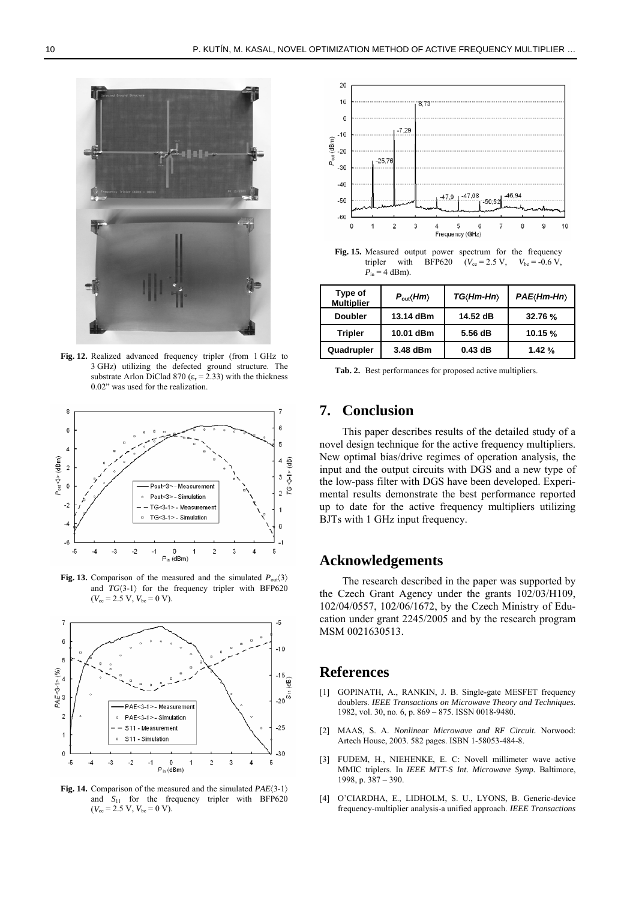

**Fig. 12.** Realized advanced frequency tripler (from 1 GHz to 3 GHz) utilizing the defected ground structure. The substrate Arlon DiClad 870 ( $\varepsilon$ <sub>r</sub> = 2.33) with the thickness 0.02" was used for the realization.



**Fig. 13.** Comparison of the measured and the simulated  $P_{out}(3)$ and  $TG(3-1)$  for the frequency tripler with BFP620  $(V_{ce} = 2.5 \text{ V}, V_{be} = 0 \text{ V}).$ 

<span id="page-4-0"></span>

<span id="page-4-2"></span><span id="page-4-1"></span>**Fig. 14.** Comparison of the measured and the simulated *PAE*〈3-1〉 and  $S_{11}$  for the frequency tripler with BFP620  $(V_{ce} = 2.5 \text{ V}, V_{be} = 0 \text{ V}).$ 



**Fig. 15.** Measured output power spectrum for the frequency tripler with BFP620 ( $V_{ce} = 2.5 \text{ V}$ ,  $V_{be} = -0.6 \text{ V}$ ,  $P_{\text{in}} = 4$  dBm).

| Type of<br><b>Multiplier</b> | $P_{\rm out}\langle Hm\rangle$ | TG(Hm-Hn) | PAE(Hm-Hn) |
|------------------------------|--------------------------------|-----------|------------|
| <b>Doubler</b>               | 13.14 dBm                      | 14.52 dB  | 32.76 %    |
| <b>Tripler</b>               | 10.01 dBm                      | 5.56 dB   | 10.15 %    |
| Quadrupler                   | 3.48 dBm                       | $0.43$ dB | 1.42%      |

**Tab. 2.** Best performances for proposed active multipliers.

#### **7. Conclusion**

This paper describes results of the detailed study of a novel design technique for the active frequency multipliers. New optimal bias/drive regimes of operation analysis, the input and the output circuits with DGS and a new type of the low-pass filter with DGS have been developed. Experimental results demonstrate the best performance reported up to date for the active frequency multipliers utilizing BJTs with 1 GHz input frequency.

#### **Acknowledgements**

The research described in the paper was supported by the Czech Grant Agency under the grants 102/03/H109, 102/04/0557, 102/06/1672, by the Czech Ministry of Education under grant 2245/2005 and by the research program MSM 0021630513.

#### **References**

- [1] GOPINATH, A., RANKIN, J. B. Single-gate MESFET frequency doublers. *IEEE Transactions on Microwave Theory and Techniques.* 1982, vol. 30, no. 6, p. 869 – 875. ISSN 0018-9480.
- [2] MAAS, S. A. *Nonlinear Microwave and RF Circuit.* Norwood: Artech House, 2003. 582 pages. ISBN 1-58053-484-8.
- [3] FUDEM, H., NIEHENKE, E. C: Novell millimeter wave active MMIC triplers. In *IEEE MTT-S Int. Microwave Symp.* Baltimore, 1998, p. 387 – 390.
- [4] O'CIARDHA, E., LIDHOLM, S. U., LYONS, B. Generic-device frequency-multiplier analysis-a unified approach. *IEEE Transactions*